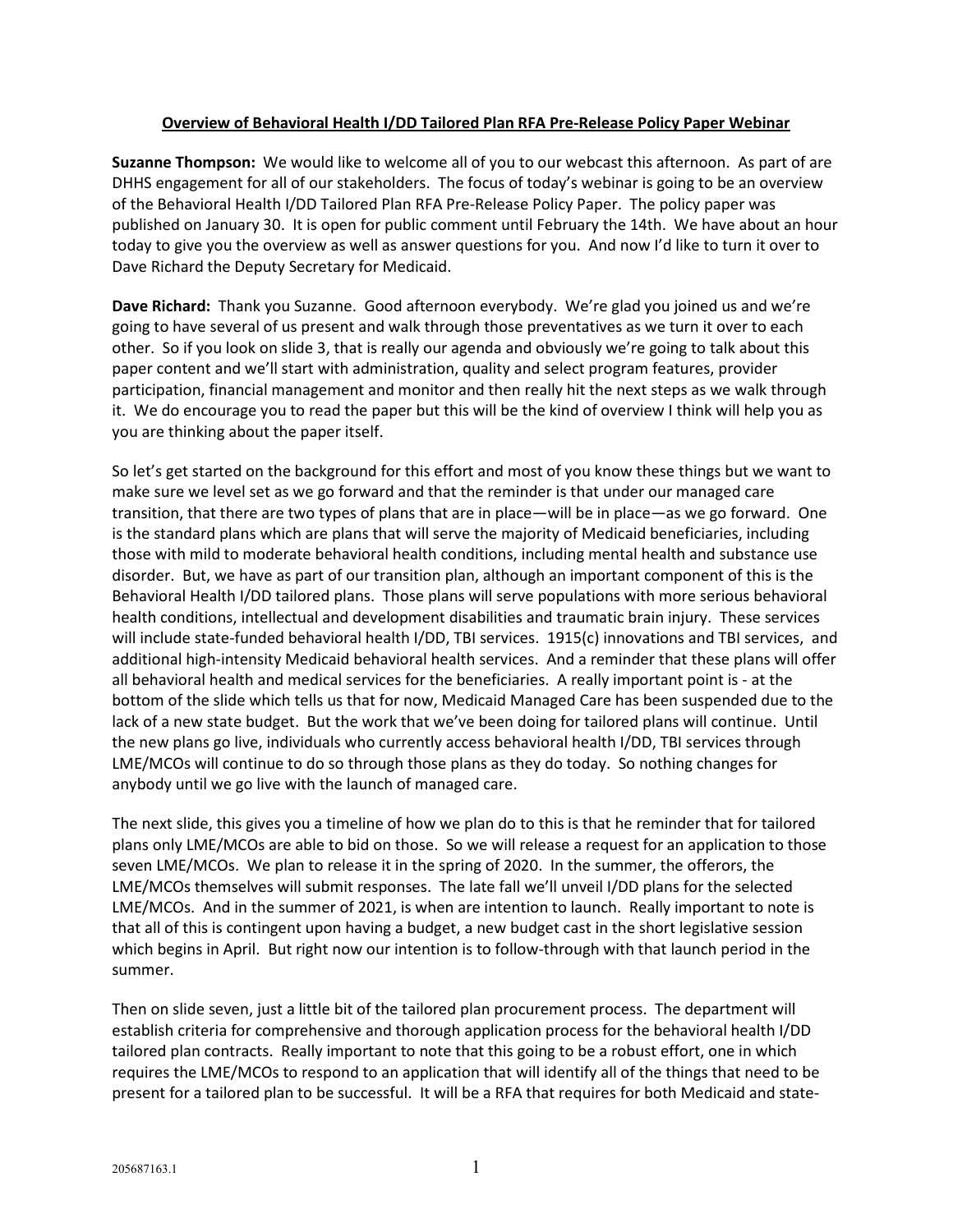## **Overview of Behavioral Health I/DD Tailored Plan RFA Pre-Release Policy Paper Webinar**

**Suzanne Thompson:** We would like to welcome all of you to our webcast this afternoon. As part of are DHHS engagement for all of our stakeholders. The focus of today's webinar is going to be an overview of the Behavioral Health I/DD Tailored Plan RFA Pre-Release Policy Paper. The policy paper was published on January 30. It is open for public comment until February the 14th. We have about an hour today to give you the overview as well as answer questions for you. And now I'd like to turn it over to Dave Richard the Deputy Secretary for Medicaid.

**Dave Richard:** Thank you Suzanne. Good afternoon everybody. We're glad you joined us and we're going to have several of us present and walk through those preventatives as we turn it over to each other. So if you look on slide 3, that is really our agenda and obviously we're going to talk about this paper content and we'll start with administration, quality and select program features, provider participation, financial management and monitor and then really hit the next steps as we walk through it. We do encourage you to read the paper but this will be the kind of overview I think will help you as you are thinking about the paper itself.

So let's get started on the background for this effort and most of you know these things but we want to make sure we level set as we go forward and that the reminder is that under our managed care transition, that there are two types of plans that are in place—will be in place—as we go forward. One is the standard plans which are plans that will serve the majority of Medicaid beneficiaries, including those with mild to moderate behavioral health conditions, including mental health and substance use disorder. But, we have as part of our transition plan, although an important component of this is the Behavioral Health I/DD tailored plans. Those plans will serve populations with more serious behavioral health conditions, intellectual and development disabilities and traumatic brain injury. These services will include state-funded behavioral health I/DD, TBI services. 1915(c) innovations and TBI services, and additional high-intensity Medicaid behavioral health services. And a reminder that these plans will offer all behavioral health and medical services for the beneficiaries. A really important point is - at the bottom of the slide which tells us that for now, Medicaid Managed Care has been suspended due to the lack of a new state budget. But the work that we've been doing for tailored plans will continue. Until the new plans go live, individuals who currently access behavioral health I/DD, TBI services through LME/MCOs will continue to do so through those plans as they do today. So nothing changes for anybody until we go live with the launch of managed care.

The next slide, this gives you a timeline of how we plan do to this is that he reminder that for tailored plans only LME/MCOs are able to bid on those. So we will release a request for an application to those seven LME/MCOs. We plan to release it in the spring of 2020. In the summer, the offerors, the LME/MCOs themselves will submit responses. The late fall we'll unveil I/DD plans for the selected LME/MCOs. And in the summer of 2021, is when are intention to launch. Really important to note is that all of this is contingent upon having a budget, a new budget cast in the short legislative session which begins in April. But right now our intention is to follow-through with that launch period in the summer.

Then on slide seven, just a little bit of the tailored plan procurement process. The department will establish criteria for comprehensive and thorough application process for the behavioral health I/DD tailored plan contracts. Really important to note that this going to be a robust effort, one in which requires the LME/MCOs to respond to an application that will identify all of the things that need to be present for a tailored plan to be successful. It will be a RFA that requires for both Medicaid and state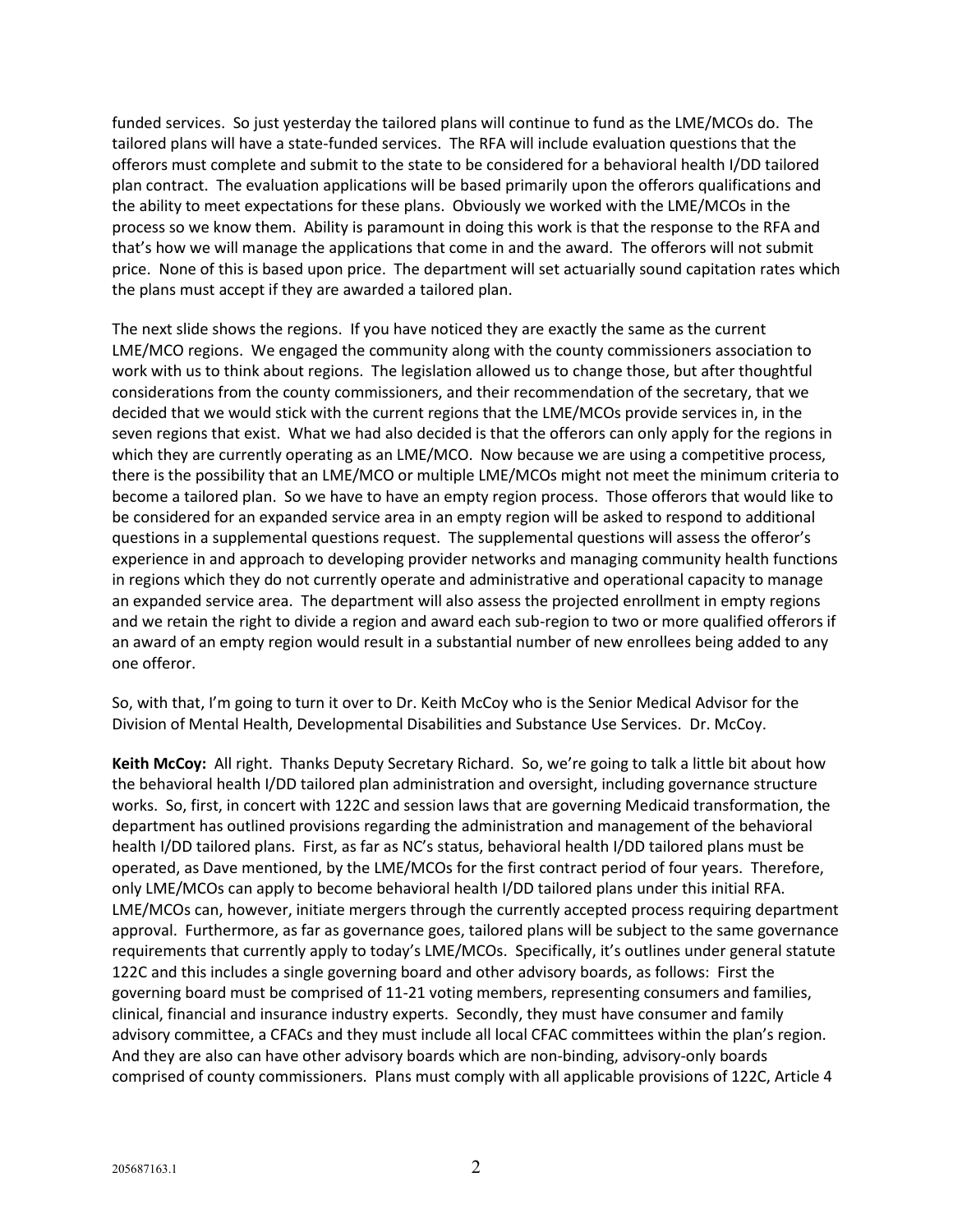funded services. So just yesterday the tailored plans will continue to fund as the LME/MCOs do. The tailored plans will have a state-funded services. The RFA will include evaluation questions that the offerors must complete and submit to the state to be considered for a behavioral health I/DD tailored plan contract. The evaluation applications will be based primarily upon the offerors qualifications and the ability to meet expectations for these plans. Obviously we worked with the LME/MCOs in the process so we know them. Ability is paramount in doing this work is that the response to the RFA and that's how we will manage the applications that come in and the award. The offerors will not submit price. None of this is based upon price. The department will set actuarially sound capitation rates which the plans must accept if they are awarded a tailored plan.

The next slide shows the regions. If you have noticed they are exactly the same as the current LME/MCO regions. We engaged the community along with the county commissioners association to work with us to think about regions. The legislation allowed us to change those, but after thoughtful considerations from the county commissioners, and their recommendation of the secretary, that we decided that we would stick with the current regions that the LME/MCOs provide services in, in the seven regions that exist. What we had also decided is that the offerors can only apply for the regions in which they are currently operating as an LME/MCO. Now because we are using a competitive process, there is the possibility that an LME/MCO or multiple LME/MCOs might not meet the minimum criteria to become a tailored plan. So we have to have an empty region process. Those offerors that would like to be considered for an expanded service area in an empty region will be asked to respond to additional questions in a supplemental questions request. The supplemental questions will assess the offeror's experience in and approach to developing provider networks and managing community health functions in regions which they do not currently operate and administrative and operational capacity to manage an expanded service area. The department will also assess the projected enrollment in empty regions and we retain the right to divide a region and award each sub-region to two or more qualified offerors if an award of an empty region would result in a substantial number of new enrollees being added to any one offeror.

So, with that, I'm going to turn it over to Dr. Keith McCoy who is the Senior Medical Advisor for the Division of Mental Health, Developmental Disabilities and Substance Use Services. Dr. McCoy.

**Keith McCoy:** All right. Thanks Deputy Secretary Richard. So, we're going to talk a little bit about how the behavioral health I/DD tailored plan administration and oversight, including governance structure works. So, first, in concert with 122C and session laws that are governing Medicaid transformation, the department has outlined provisions regarding the administration and management of the behavioral health I/DD tailored plans. First, as far as NC's status, behavioral health I/DD tailored plans must be operated, as Dave mentioned, by the LME/MCOs for the first contract period of four years. Therefore, only LME/MCOs can apply to become behavioral health I/DD tailored plans under this initial RFA. LME/MCOs can, however, initiate mergers through the currently accepted process requiring department approval. Furthermore, as far as governance goes, tailored plans will be subject to the same governance requirements that currently apply to today's LME/MCOs. Specifically, it's outlines under general statute 122C and this includes a single governing board and other advisory boards, as follows: First the governing board must be comprised of 11-21 voting members, representing consumers and families, clinical, financial and insurance industry experts. Secondly, they must have consumer and family advisory committee, a CFACs and they must include all local CFAC committees within the plan's region. And they are also can have other advisory boards which are non-binding, advisory-only boards comprised of county commissioners. Plans must comply with all applicable provisions of 122C, Article 4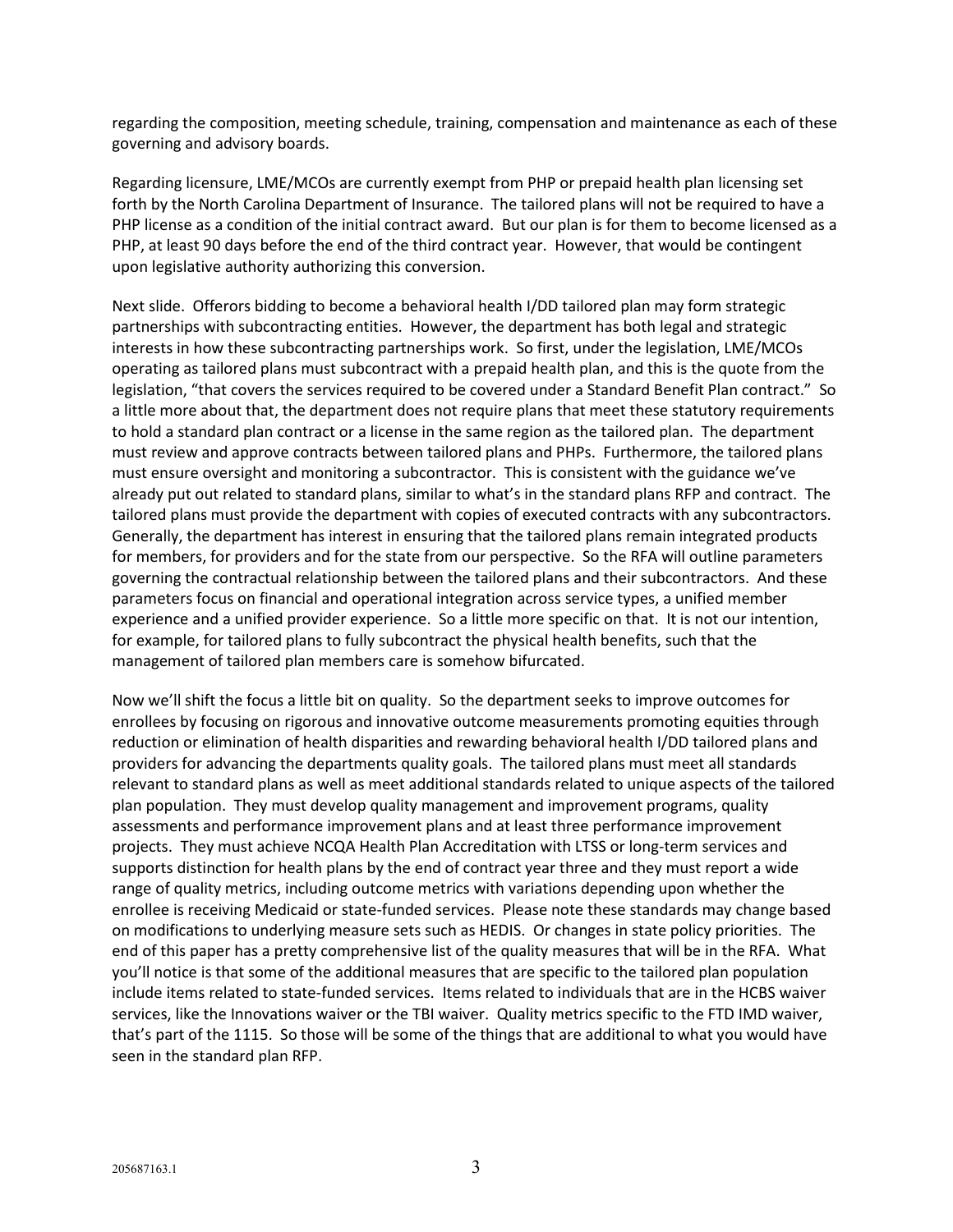regarding the composition, meeting schedule, training, compensation and maintenance as each of these governing and advisory boards.

Regarding licensure, LME/MCOs are currently exempt from PHP or prepaid health plan licensing set forth by the North Carolina Department of Insurance. The tailored plans will not be required to have a PHP license as a condition of the initial contract award. But our plan is for them to become licensed as a PHP, at least 90 days before the end of the third contract year. However, that would be contingent upon legislative authority authorizing this conversion.

Next slide. Offerors bidding to become a behavioral health I/DD tailored plan may form strategic partnerships with subcontracting entities. However, the department has both legal and strategic interests in how these subcontracting partnerships work. So first, under the legislation, LME/MCOs operating as tailored plans must subcontract with a prepaid health plan, and this is the quote from the legislation, "that covers the services required to be covered under a Standard Benefit Plan contract." So a little more about that, the department does not require plans that meet these statutory requirements to hold a standard plan contract or a license in the same region as the tailored plan. The department must review and approve contracts between tailored plans and PHPs. Furthermore, the tailored plans must ensure oversight and monitoring a subcontractor. This is consistent with the guidance we've already put out related to standard plans, similar to what's in the standard plans RFP and contract. The tailored plans must provide the department with copies of executed contracts with any subcontractors. Generally, the department has interest in ensuring that the tailored plans remain integrated products for members, for providers and for the state from our perspective. So the RFA will outline parameters governing the contractual relationship between the tailored plans and their subcontractors. And these parameters focus on financial and operational integration across service types, a unified member experience and a unified provider experience. So a little more specific on that. It is not our intention, for example, for tailored plans to fully subcontract the physical health benefits, such that the management of tailored plan members care is somehow bifurcated.

Now we'll shift the focus a little bit on quality. So the department seeks to improve outcomes for enrollees by focusing on rigorous and innovative outcome measurements promoting equities through reduction or elimination of health disparities and rewarding behavioral health I/DD tailored plans and providers for advancing the departments quality goals. The tailored plans must meet all standards relevant to standard plans as well as meet additional standards related to unique aspects of the tailored plan population. They must develop quality management and improvement programs, quality assessments and performance improvement plans and at least three performance improvement projects. They must achieve NCQA Health Plan Accreditation with LTSS or long-term services and supports distinction for health plans by the end of contract year three and they must report a wide range of quality metrics, including outcome metrics with variations depending upon whether the enrollee is receiving Medicaid or state-funded services. Please note these standards may change based on modifications to underlying measure sets such as HEDIS. Or changes in state policy priorities. The end of this paper has a pretty comprehensive list of the quality measures that will be in the RFA. What you'll notice is that some of the additional measures that are specific to the tailored plan population include items related to state-funded services. Items related to individuals that are in the HCBS waiver services, like the Innovations waiver or the TBI waiver. Quality metrics specific to the FTD IMD waiver, that's part of the 1115. So those will be some of the things that are additional to what you would have seen in the standard plan RFP.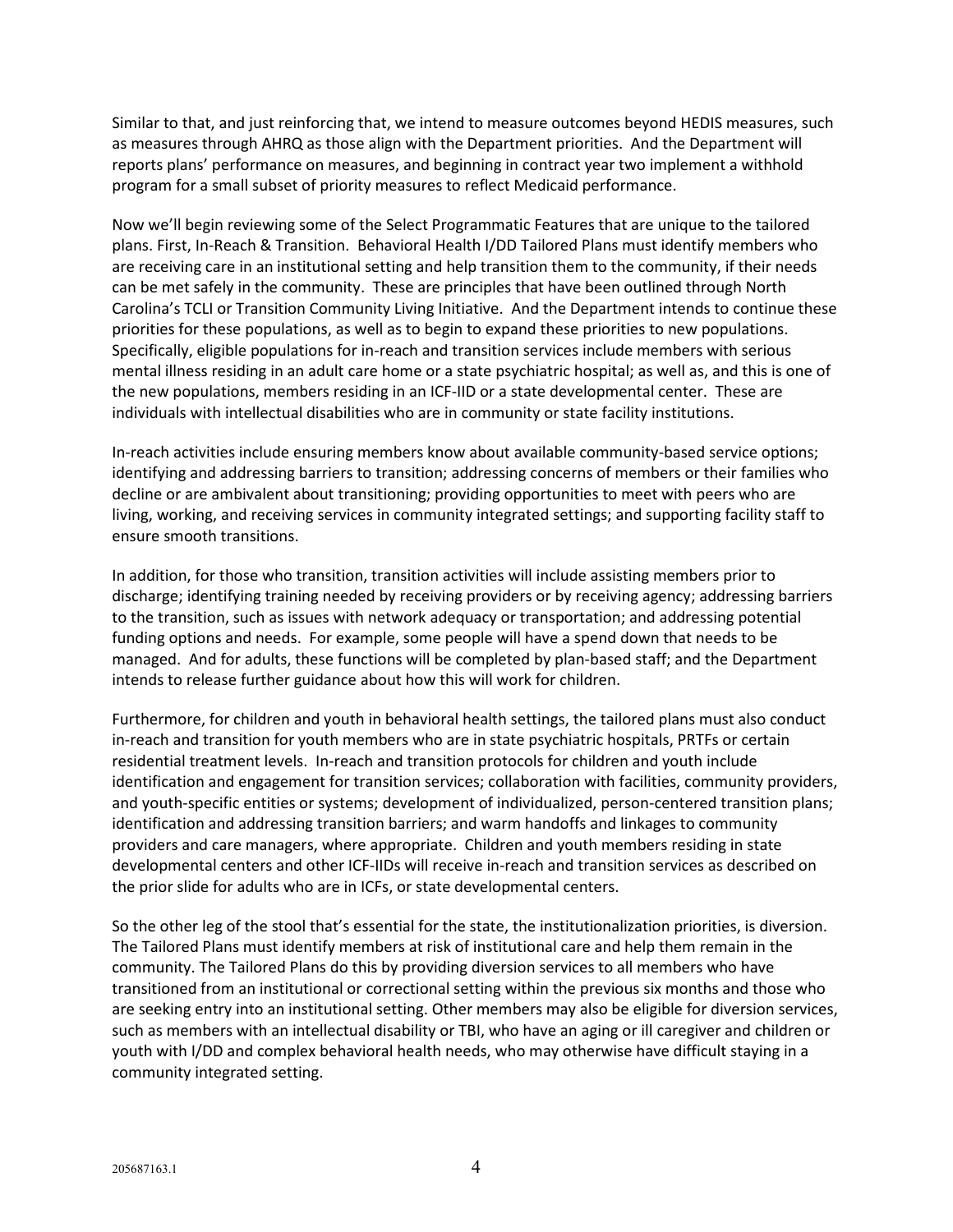Similar to that, and just reinforcing that, we intend to measure outcomes beyond HEDIS measures, such as measures through AHRQ as those align with the Department priorities. And the Department will reports plans' performance on measures, and beginning in contract year two implement a withhold program for a small subset of priority measures to reflect Medicaid performance.

Now we'll begin reviewing some of the Select Programmatic Features that are unique to the tailored plans. First, In-Reach & Transition. Behavioral Health I/DD Tailored Plans must identify members who are receiving care in an institutional setting and help transition them to the community, if their needs can be met safely in the community. These are principles that have been outlined through North Carolina's TCLI or Transition Community Living Initiative. And the Department intends to continue these priorities for these populations, as well as to begin to expand these priorities to new populations. Specifically, eligible populations for in-reach and transition services include members with serious mental illness residing in an adult care home or a state psychiatric hospital; as well as, and this is one of the new populations, members residing in an ICF-IID or a state developmental center. These are individuals with intellectual disabilities who are in community or state facility institutions.

In-reach activities include ensuring members know about available community-based service options; identifying and addressing barriers to transition; addressing concerns of members or their families who decline or are ambivalent about transitioning; providing opportunities to meet with peers who are living, working, and receiving services in community integrated settings; and supporting facility staff to ensure smooth transitions.

In addition, for those who transition, transition activities will include assisting members prior to discharge; identifying training needed by receiving providers or by receiving agency; addressing barriers to the transition, such as issues with network adequacy or transportation; and addressing potential funding options and needs. For example, some people will have a spend down that needs to be managed. And for adults, these functions will be completed by plan-based staff; and the Department intends to release further guidance about how this will work for children.

Furthermore, for children and youth in behavioral health settings, the tailored plans must also conduct in-reach and transition for youth members who are in state psychiatric hospitals, PRTFs or certain residential treatment levels. In-reach and transition protocols for children and youth include identification and engagement for transition services; collaboration with facilities, community providers, and youth-specific entities or systems; development of individualized, person-centered transition plans; identification and addressing transition barriers; and warm handoffs and linkages to community providers and care managers, where appropriate. Children and youth members residing in state developmental centers and other ICF-IIDs will receive in-reach and transition services as described on the prior slide for adults who are in ICFs, or state developmental centers.

So the other leg of the stool that's essential for the state, the institutionalization priorities, is diversion. The Tailored Plans must identify members at risk of institutional care and help them remain in the community. The Tailored Plans do this by providing diversion services to all members who have transitioned from an institutional or correctional setting within the previous six months and those who are seeking entry into an institutional setting. Other members may also be eligible for diversion services, such as members with an intellectual disability or TBI, who have an aging or ill caregiver and children or youth with I/DD and complex behavioral health needs, who may otherwise have difficult staying in a community integrated setting.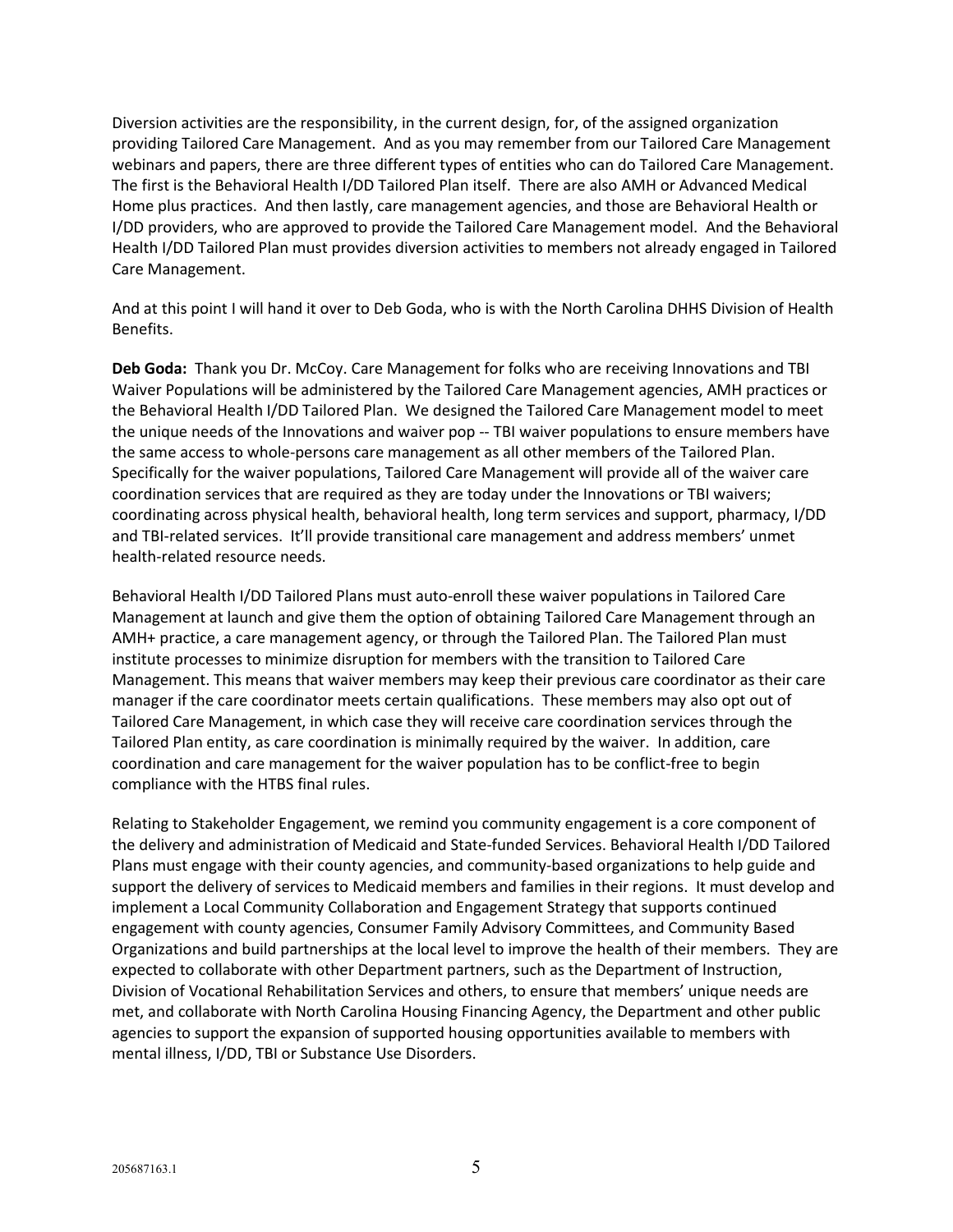Diversion activities are the responsibility, in the current design, for, of the assigned organization providing Tailored Care Management. And as you may remember from our Tailored Care Management webinars and papers, there are three different types of entities who can do Tailored Care Management. The first is the Behavioral Health I/DD Tailored Plan itself. There are also AMH or Advanced Medical Home plus practices. And then lastly, care management agencies, and those are Behavioral Health or I/DD providers, who are approved to provide the Tailored Care Management model. And the Behavioral Health I/DD Tailored Plan must provides diversion activities to members not already engaged in Tailored Care Management.

And at this point I will hand it over to Deb Goda, who is with the North Carolina DHHS Division of Health Benefits.

**Deb Goda:** Thank you Dr. McCoy. Care Management for folks who are receiving Innovations and TBI Waiver Populations will be administered by the Tailored Care Management agencies, AMH practices or the Behavioral Health I/DD Tailored Plan. We designed the Tailored Care Management model to meet the unique needs of the Innovations and waiver pop -- TBI waiver populations to ensure members have the same access to whole-persons care management as all other members of the Tailored Plan. Specifically for the waiver populations, Tailored Care Management will provide all of the waiver care coordination services that are required as they are today under the Innovations or TBI waivers; coordinating across physical health, behavioral health, long term services and support, pharmacy, I/DD and TBI-related services. It'll provide transitional care management and address members' unmet health-related resource needs.

Behavioral Health I/DD Tailored Plans must auto-enroll these waiver populations in Tailored Care Management at launch and give them the option of obtaining Tailored Care Management through an AMH+ practice, a care management agency, or through the Tailored Plan. The Tailored Plan must institute processes to minimize disruption for members with the transition to Tailored Care Management. This means that waiver members may keep their previous care coordinator as their care manager if the care coordinator meets certain qualifications. These members may also opt out of Tailored Care Management, in which case they will receive care coordination services through the Tailored Plan entity, as care coordination is minimally required by the waiver. In addition, care coordination and care management for the waiver population has to be conflict-free to begin compliance with the HTBS final rules.

Relating to Stakeholder Engagement, we remind you community engagement is a core component of the delivery and administration of Medicaid and State-funded Services. Behavioral Health I/DD Tailored Plans must engage with their county agencies, and community-based organizations to help guide and support the delivery of services to Medicaid members and families in their regions. It must develop and implement a Local Community Collaboration and Engagement Strategy that supports continued engagement with county agencies, Consumer Family Advisory Committees, and Community Based Organizations and build partnerships at the local level to improve the health of their members. They are expected to collaborate with other Department partners, such as the Department of Instruction, Division of Vocational Rehabilitation Services and others, to ensure that members' unique needs are met, and collaborate with North Carolina Housing Financing Agency, the Department and other public agencies to support the expansion of supported housing opportunities available to members with mental illness, I/DD, TBI or Substance Use Disorders.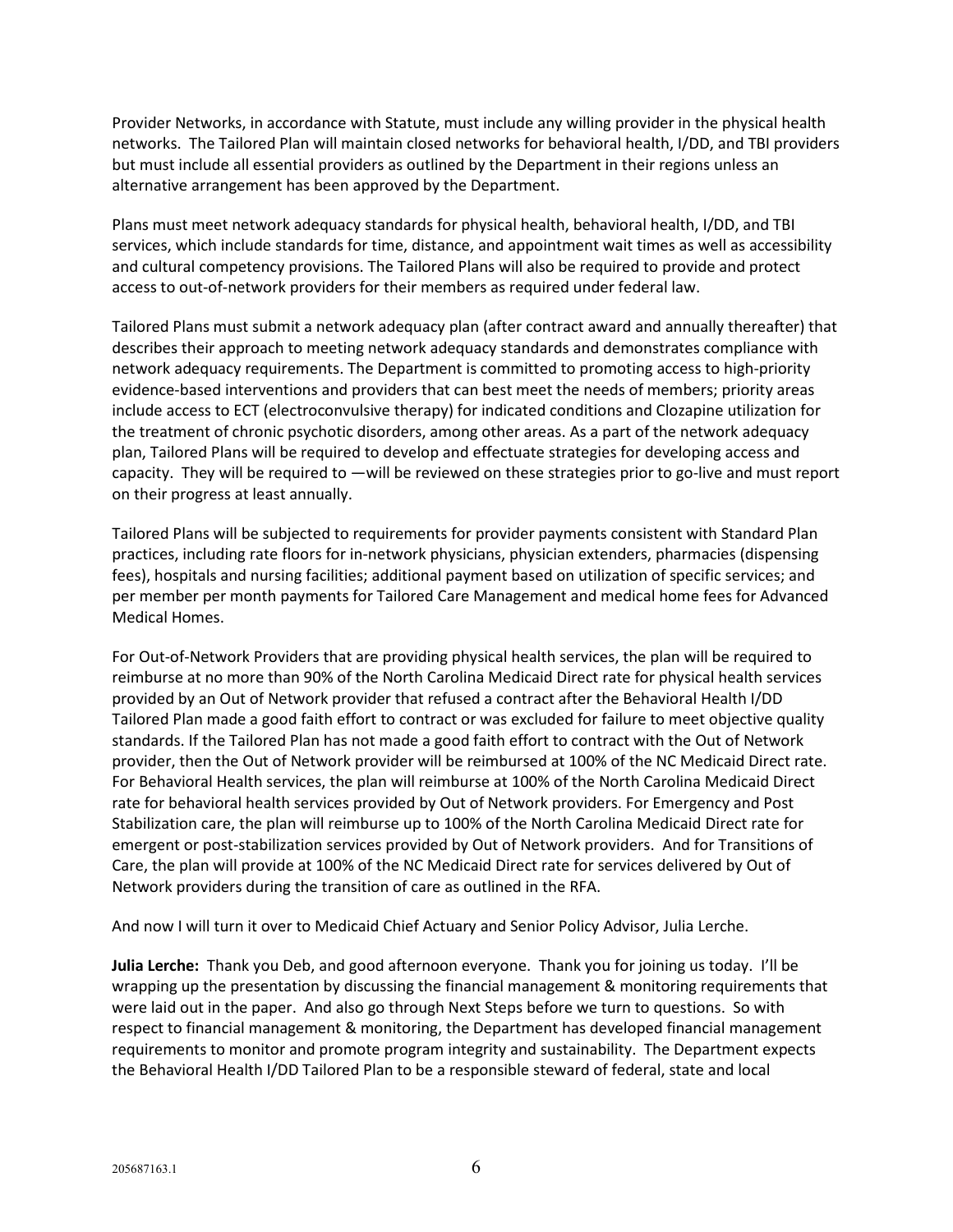Provider Networks, in accordance with Statute, must include any willing provider in the physical health networks. The Tailored Plan will maintain closed networks for behavioral health, I/DD, and TBI providers but must include all essential providers as outlined by the Department in their regions unless an alternative arrangement has been approved by the Department.

Plans must meet network adequacy standards for physical health, behavioral health, I/DD, and TBI services, which include standards for time, distance, and appointment wait times as well as accessibility and cultural competency provisions. The Tailored Plans will also be required to provide and protect access to out-of-network providers for their members as required under federal law.

Tailored Plans must submit a network adequacy plan (after contract award and annually thereafter) that describes their approach to meeting network adequacy standards and demonstrates compliance with network adequacy requirements. The Department is committed to promoting access to high-priority evidence-based interventions and providers that can best meet the needs of members; priority areas include access to ECT (electroconvulsive therapy) for indicated conditions and Clozapine utilization for the treatment of chronic psychotic disorders, among other areas. As a part of the network adequacy plan, Tailored Plans will be required to develop and effectuate strategies for developing access and capacity. They will be required to —will be reviewed on these strategies prior to go-live and must report on their progress at least annually.

Tailored Plans will be subjected to requirements for provider payments consistent with Standard Plan practices, including rate floors for in-network physicians, physician extenders, pharmacies (dispensing fees), hospitals and nursing facilities; additional payment based on utilization of specific services; and per member per month payments for Tailored Care Management and medical home fees for Advanced Medical Homes.

For Out-of-Network Providers that are providing physical health services, the plan will be required to reimburse at no more than 90% of the North Carolina Medicaid Direct rate for physical health services provided by an Out of Network provider that refused a contract after the Behavioral Health I/DD Tailored Plan made a good faith effort to contract or was excluded for failure to meet objective quality standards. If the Tailored Plan has not made a good faith effort to contract with the Out of Network provider, then the Out of Network provider will be reimbursed at 100% of the NC Medicaid Direct rate. For Behavioral Health services, the plan will reimburse at 100% of the North Carolina Medicaid Direct rate for behavioral health services provided by Out of Network providers. For Emergency and Post Stabilization care, the plan will reimburse up to 100% of the North Carolina Medicaid Direct rate for emergent or post-stabilization services provided by Out of Network providers. And for Transitions of Care, the plan will provide at 100% of the NC Medicaid Direct rate for services delivered by Out of Network providers during the transition of care as outlined in the RFA.

And now I will turn it over to Medicaid Chief Actuary and Senior Policy Advisor, Julia Lerche.

**Julia Lerche:** Thank you Deb, and good afternoon everyone. Thank you for joining us today. I'll be wrapping up the presentation by discussing the financial management & monitoring requirements that were laid out in the paper. And also go through Next Steps before we turn to questions. So with respect to financial management & monitoring, the Department has developed financial management requirements to monitor and promote program integrity and sustainability. The Department expects the Behavioral Health I/DD Tailored Plan to be a responsible steward of federal, state and local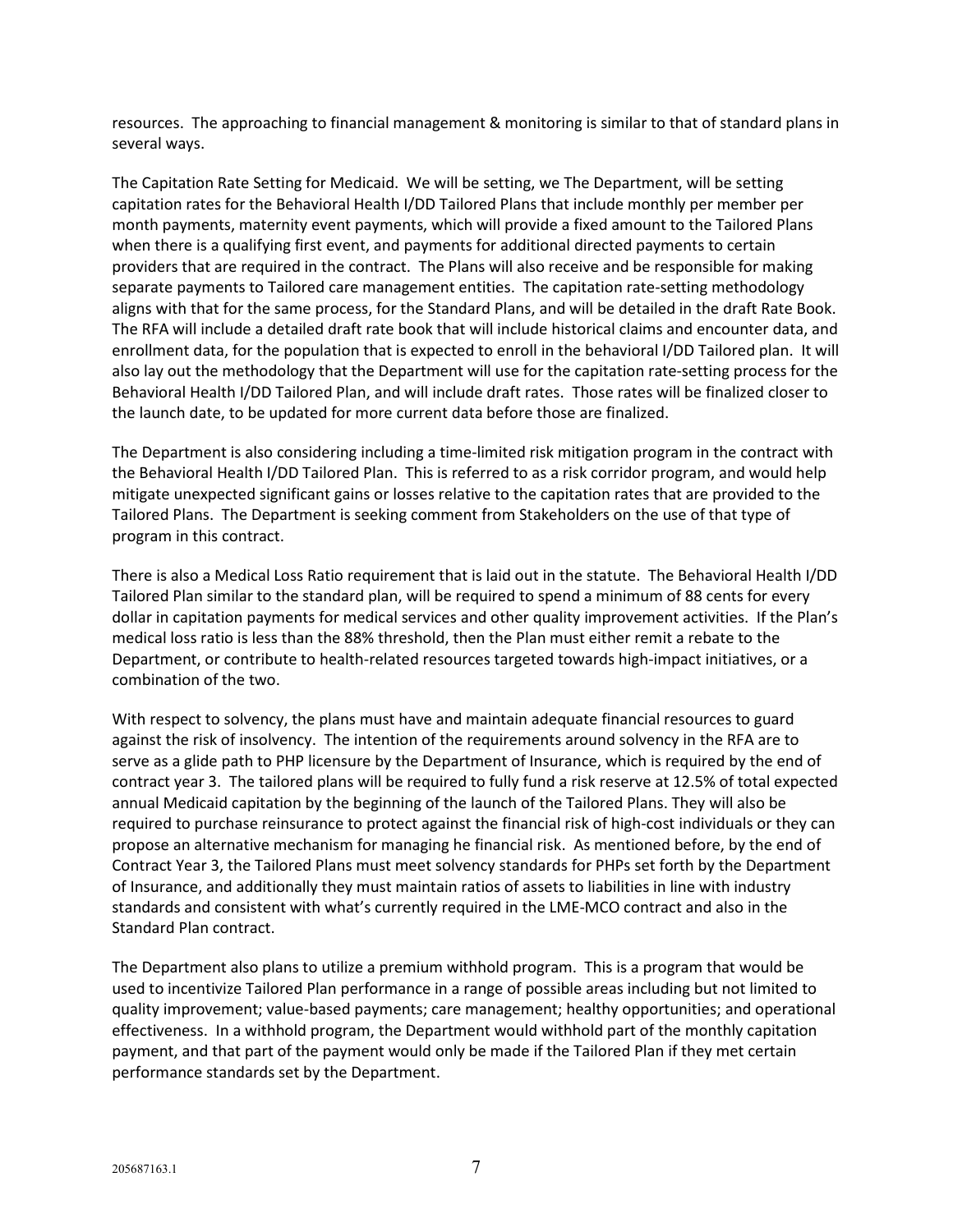resources. The approaching to financial management & monitoring is similar to that of standard plans in several ways.

The Capitation Rate Setting for Medicaid. We will be setting, we The Department, will be setting capitation rates for the Behavioral Health I/DD Tailored Plans that include monthly per member per month payments, maternity event payments, which will provide a fixed amount to the Tailored Plans when there is a qualifying first event, and payments for additional directed payments to certain providers that are required in the contract. The Plans will also receive and be responsible for making separate payments to Tailored care management entities. The capitation rate-setting methodology aligns with that for the same process, for the Standard Plans, and will be detailed in the draft Rate Book. The RFA will include a detailed draft rate book that will include historical claims and encounter data, and enrollment data, for the population that is expected to enroll in the behavioral I/DD Tailored plan. It will also lay out the methodology that the Department will use for the capitation rate-setting process for the Behavioral Health I/DD Tailored Plan, and will include draft rates. Those rates will be finalized closer to the launch date, to be updated for more current data before those are finalized.

The Department is also considering including a time-limited risk mitigation program in the contract with the Behavioral Health I/DD Tailored Plan. This is referred to as a risk corridor program, and would help mitigate unexpected significant gains or losses relative to the capitation rates that are provided to the Tailored Plans. The Department is seeking comment from Stakeholders on the use of that type of program in this contract.

There is also a Medical Loss Ratio requirement that is laid out in the statute. The Behavioral Health I/DD Tailored Plan similar to the standard plan, will be required to spend a minimum of 88 cents for every dollar in capitation payments for medical services and other quality improvement activities. If the Plan's medical loss ratio is less than the 88% threshold, then the Plan must either remit a rebate to the Department, or contribute to health-related resources targeted towards high-impact initiatives, or a combination of the two.

With respect to solvency, the plans must have and maintain adequate financial resources to guard against the risk of insolvency. The intention of the requirements around solvency in the RFA are to serve as a glide path to PHP licensure by the Department of Insurance, which is required by the end of contract year 3. The tailored plans will be required to fully fund a risk reserve at 12.5% of total expected annual Medicaid capitation by the beginning of the launch of the Tailored Plans. They will also be required to purchase reinsurance to protect against the financial risk of high-cost individuals or they can propose an alternative mechanism for managing he financial risk. As mentioned before, by the end of Contract Year 3, the Tailored Plans must meet solvency standards for PHPs set forth by the Department of Insurance, and additionally they must maintain ratios of assets to liabilities in line with industry standards and consistent with what's currently required in the LME-MCO contract and also in the Standard Plan contract.

The Department also plans to utilize a premium withhold program. This is a program that would be used to incentivize Tailored Plan performance in a range of possible areas including but not limited to quality improvement; value-based payments; care management; healthy opportunities; and operational effectiveness. In a withhold program, the Department would withhold part of the monthly capitation payment, and that part of the payment would only be made if the Tailored Plan if they met certain performance standards set by the Department.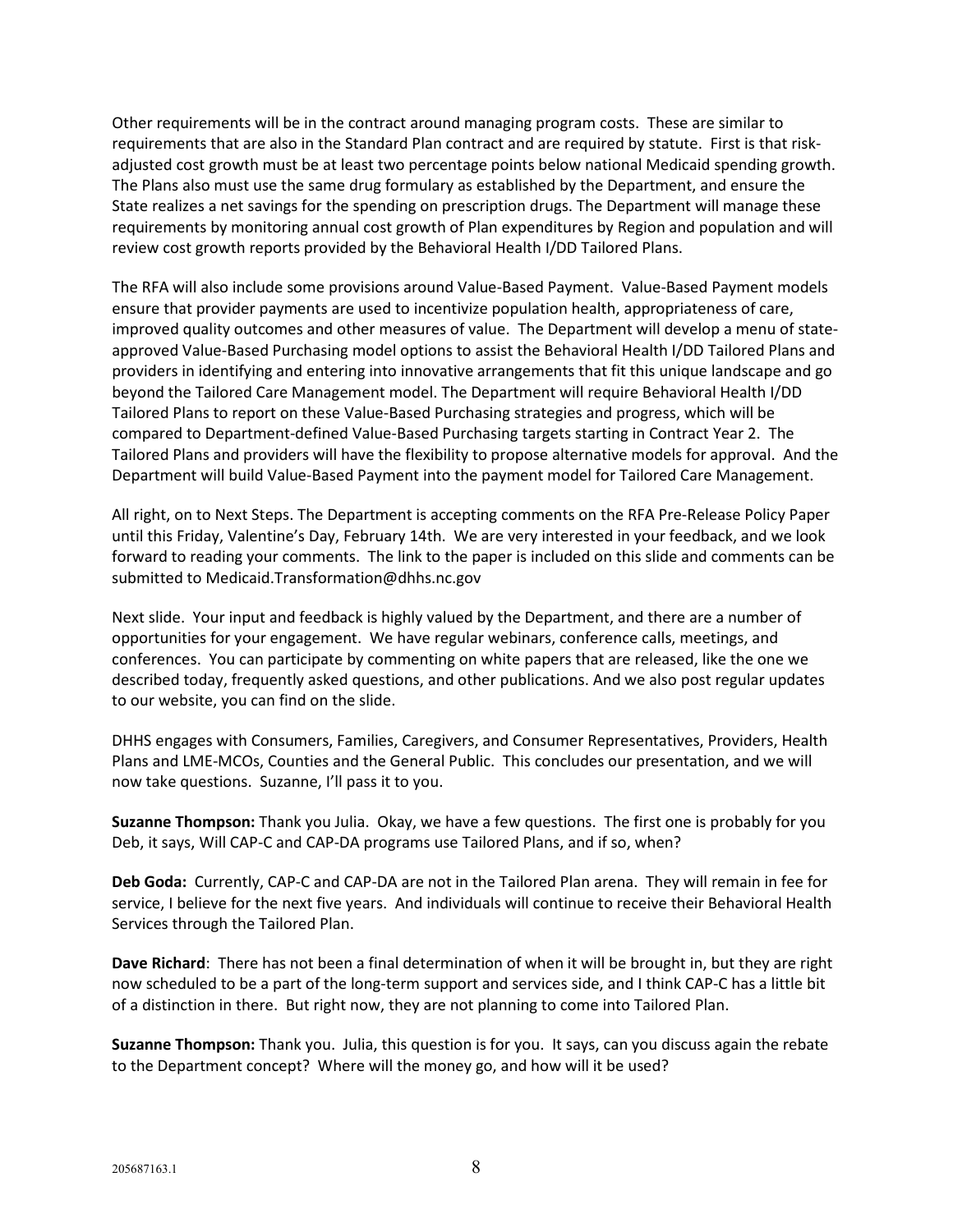Other requirements will be in the contract around managing program costs. These are similar to requirements that are also in the Standard Plan contract and are required by statute. First is that riskadjusted cost growth must be at least two percentage points below national Medicaid spending growth. The Plans also must use the same drug formulary as established by the Department, and ensure the State realizes a net savings for the spending on prescription drugs. The Department will manage these requirements by monitoring annual cost growth of Plan expenditures by Region and population and will review cost growth reports provided by the Behavioral Health I/DD Tailored Plans.

The RFA will also include some provisions around Value-Based Payment. Value-Based Payment models ensure that provider payments are used to incentivize population health, appropriateness of care, improved quality outcomes and other measures of value. The Department will develop a menu of stateapproved Value-Based Purchasing model options to assist the Behavioral Health I/DD Tailored Plans and providers in identifying and entering into innovative arrangements that fit this unique landscape and go beyond the Tailored Care Management model. The Department will require Behavioral Health I/DD Tailored Plans to report on these Value-Based Purchasing strategies and progress, which will be compared to Department-defined Value-Based Purchasing targets starting in Contract Year 2. The Tailored Plans and providers will have the flexibility to propose alternative models for approval. And the Department will build Value-Based Payment into the payment model for Tailored Care Management.

All right, on to Next Steps. The Department is accepting comments on the RFA Pre-Release Policy Paper until this Friday, Valentine's Day, February 14th. We are very interested in your feedback, and we look forward to reading your comments. The link to the paper is included on this slide and comments can be submitted to Medicaid.Transformation@dhhs.nc.gov

Next slide. Your input and feedback is highly valued by the Department, and there are a number of opportunities for your engagement. We have regular webinars, conference calls, meetings, and conferences. You can participate by commenting on white papers that are released, like the one we described today, frequently asked questions, and other publications. And we also post regular updates to our website, you can find on the slide.

DHHS engages with Consumers, Families, Caregivers, and Consumer Representatives, Providers, Health Plans and LME-MCOs, Counties and the General Public. This concludes our presentation, and we will now take questions. Suzanne, I'll pass it to you.

**Suzanne Thompson:** Thank you Julia. Okay, we have a few questions. The first one is probably for you Deb, it says, Will CAP-C and CAP-DA programs use Tailored Plans, and if so, when?

**Deb Goda:** Currently, CAP-C and CAP-DA are not in the Tailored Plan arena. They will remain in fee for service, I believe for the next five years. And individuals will continue to receive their Behavioral Health Services through the Tailored Plan.

**Dave Richard**: There has not been a final determination of when it will be brought in, but they are right now scheduled to be a part of the long-term support and services side, and I think CAP-C has a little bit of a distinction in there. But right now, they are not planning to come into Tailored Plan.

**Suzanne Thompson:** Thank you. Julia, this question is for you. It says, can you discuss again the rebate to the Department concept? Where will the money go, and how will it be used?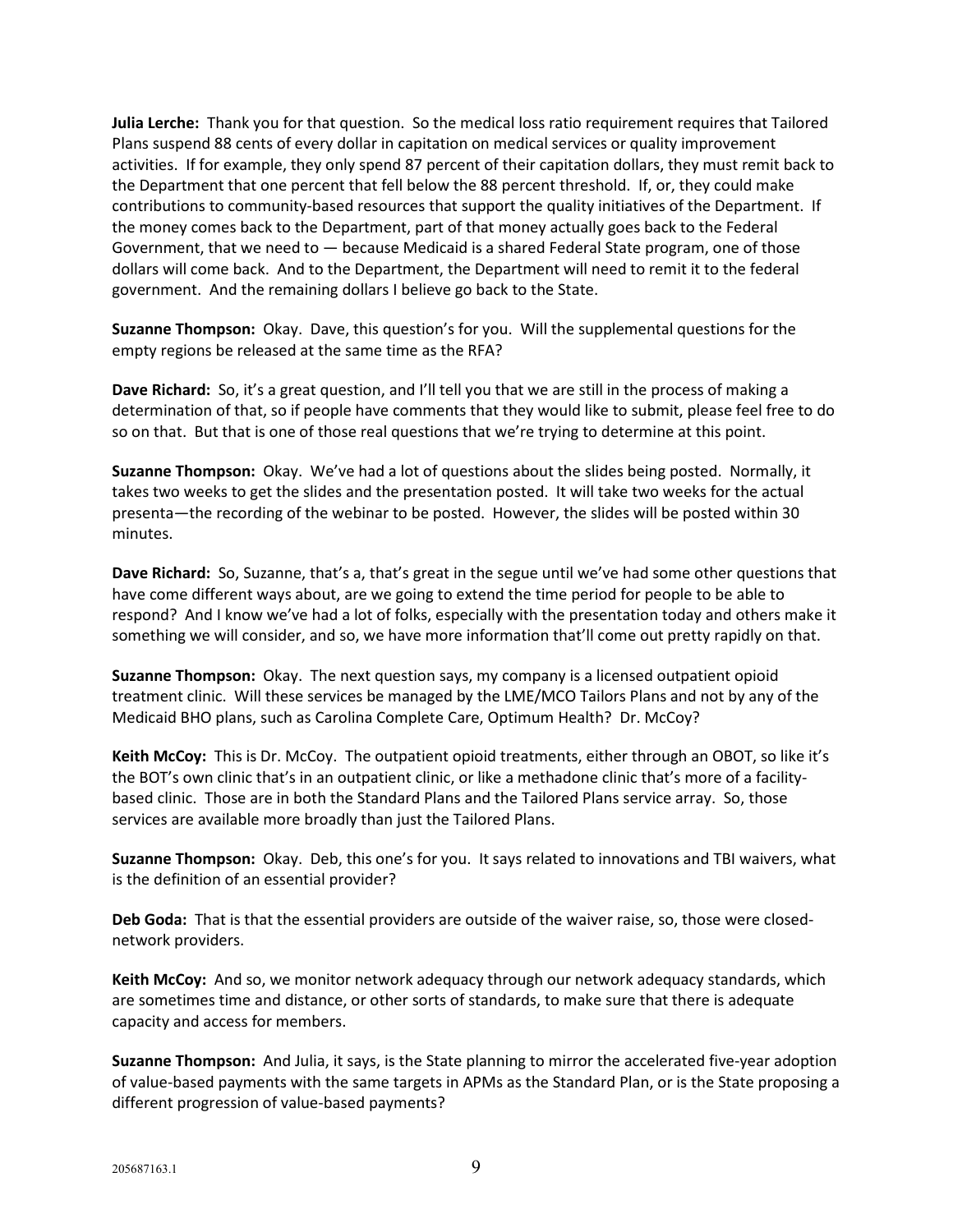**Julia Lerche:** Thank you for that question. So the medical loss ratio requirement requires that Tailored Plans suspend 88 cents of every dollar in capitation on medical services or quality improvement activities. If for example, they only spend 87 percent of their capitation dollars, they must remit back to the Department that one percent that fell below the 88 percent threshold. If, or, they could make contributions to community-based resources that support the quality initiatives of the Department. If the money comes back to the Department, part of that money actually goes back to the Federal Government, that we need to  $-$  because Medicaid is a shared Federal State program, one of those dollars will come back. And to the Department, the Department will need to remit it to the federal government. And the remaining dollars I believe go back to the State.

**Suzanne Thompson:** Okay. Dave, this question's for you. Will the supplemental questions for the empty regions be released at the same time as the RFA?

**Dave Richard:** So, it's a great question, and I'll tell you that we are still in the process of making a determination of that, so if people have comments that they would like to submit, please feel free to do so on that. But that is one of those real questions that we're trying to determine at this point.

**Suzanne Thompson:** Okay. We've had a lot of questions about the slides being posted. Normally, it takes two weeks to get the slides and the presentation posted. It will take two weeks for the actual presenta—the recording of the webinar to be posted. However, the slides will be posted within 30 minutes.

**Dave Richard:** So, Suzanne, that's a, that's great in the segue until we've had some other questions that have come different ways about, are we going to extend the time period for people to be able to respond? And I know we've had a lot of folks, especially with the presentation today and others make it something we will consider, and so, we have more information that'll come out pretty rapidly on that.

**Suzanne Thompson:** Okay. The next question says, my company is a licensed outpatient opioid treatment clinic. Will these services be managed by the LME/MCO Tailors Plans and not by any of the Medicaid BHO plans, such as Carolina Complete Care, Optimum Health? Dr. McCoy?

**Keith McCoy:** This is Dr. McCoy. The outpatient opioid treatments, either through an OBOT, so like it's the BOT's own clinic that's in an outpatient clinic, or like a methadone clinic that's more of a facilitybased clinic. Those are in both the Standard Plans and the Tailored Plans service array. So, those services are available more broadly than just the Tailored Plans.

**Suzanne Thompson:** Okay. Deb, this one's for you. It says related to innovations and TBI waivers, what is the definition of an essential provider?

**Deb Goda:** That is that the essential providers are outside of the waiver raise, so, those were closednetwork providers.

**Keith McCoy:** And so, we monitor network adequacy through our network adequacy standards, which are sometimes time and distance, or other sorts of standards, to make sure that there is adequate capacity and access for members.

**Suzanne Thompson:** And Julia, it says, is the State planning to mirror the accelerated five-year adoption of value-based payments with the same targets in APMs as the Standard Plan, or is the State proposing a different progression of value-based payments?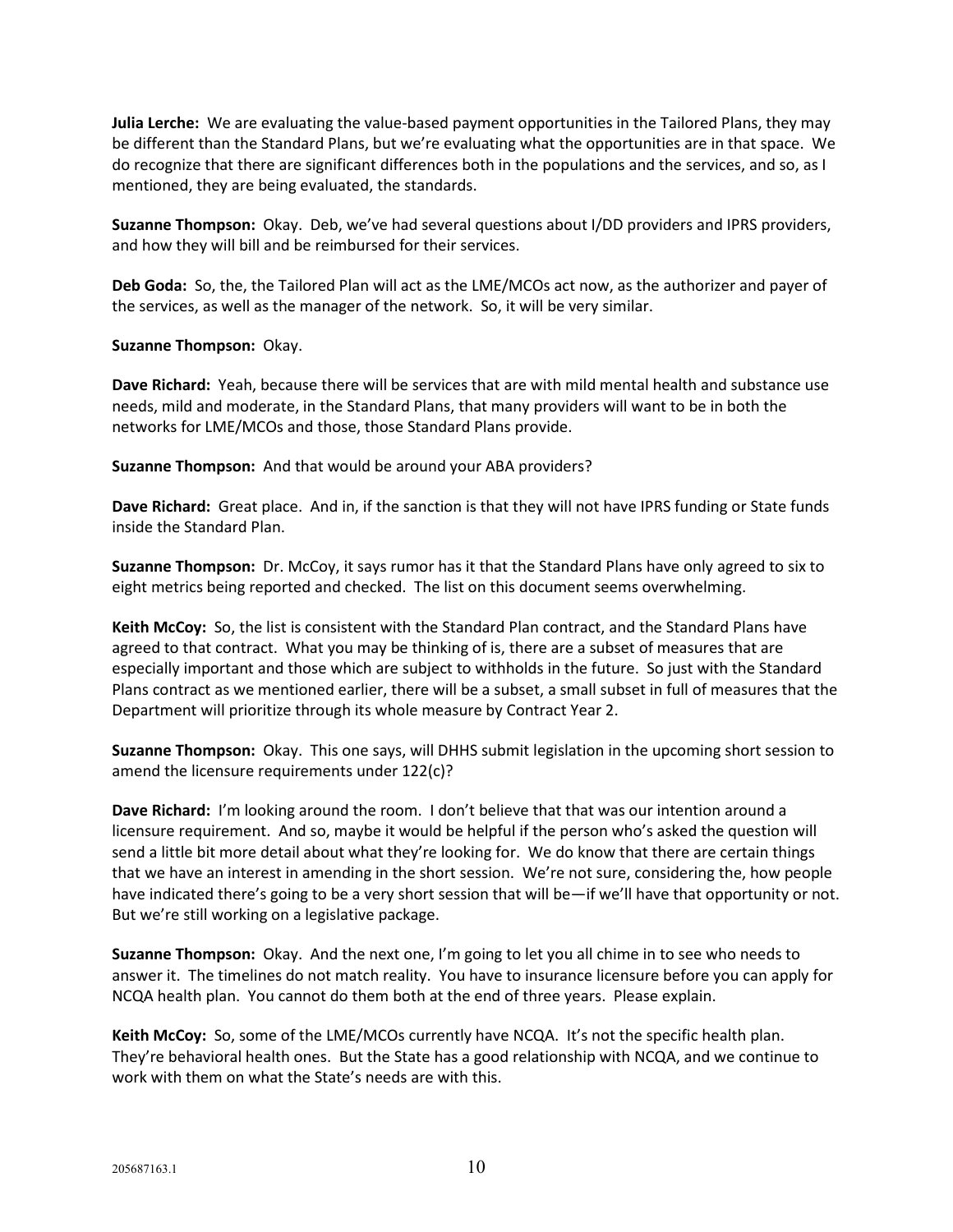**Julia Lerche:** We are evaluating the value-based payment opportunities in the Tailored Plans, they may be different than the Standard Plans, but we're evaluating what the opportunities are in that space. We do recognize that there are significant differences both in the populations and the services, and so, as I mentioned, they are being evaluated, the standards.

**Suzanne Thompson:** Okay. Deb, we've had several questions about I/DD providers and IPRS providers, and how they will bill and be reimbursed for their services.

**Deb Goda:** So, the, the Tailored Plan will act as the LME/MCOs act now, as the authorizer and payer of the services, as well as the manager of the network. So, it will be very similar.

**Suzanne Thompson:** Okay.

**Dave Richard:** Yeah, because there will be services that are with mild mental health and substance use needs, mild and moderate, in the Standard Plans, that many providers will want to be in both the networks for LME/MCOs and those, those Standard Plans provide.

**Suzanne Thompson:** And that would be around your ABA providers?

**Dave Richard:** Great place. And in, if the sanction is that they will not have IPRS funding or State funds inside the Standard Plan.

**Suzanne Thompson:** Dr. McCoy, it says rumor has it that the Standard Plans have only agreed to six to eight metrics being reported and checked. The list on this document seems overwhelming.

**Keith McCoy:** So, the list is consistent with the Standard Plan contract, and the Standard Plans have agreed to that contract. What you may be thinking of is, there are a subset of measures that are especially important and those which are subject to withholds in the future. So just with the Standard Plans contract as we mentioned earlier, there will be a subset, a small subset in full of measures that the Department will prioritize through its whole measure by Contract Year 2.

**Suzanne Thompson:** Okay. This one says, will DHHS submit legislation in the upcoming short session to amend the licensure requirements under 122(c)?

**Dave Richard:** I'm looking around the room. I don't believe that that was our intention around a licensure requirement. And so, maybe it would be helpful if the person who's asked the question will send a little bit more detail about what they're looking for. We do know that there are certain things that we have an interest in amending in the short session. We're not sure, considering the, how people have indicated there's going to be a very short session that will be—if we'll have that opportunity or not. But we're still working on a legislative package.

**Suzanne Thompson:** Okay. And the next one, I'm going to let you all chime in to see who needs to answer it. The timelines do not match reality. You have to insurance licensure before you can apply for NCQA health plan. You cannot do them both at the end of three years. Please explain.

**Keith McCoy:** So, some of the LME/MCOs currently have NCQA. It's not the specific health plan. They're behavioral health ones. But the State has a good relationship with NCQA, and we continue to work with them on what the State's needs are with this.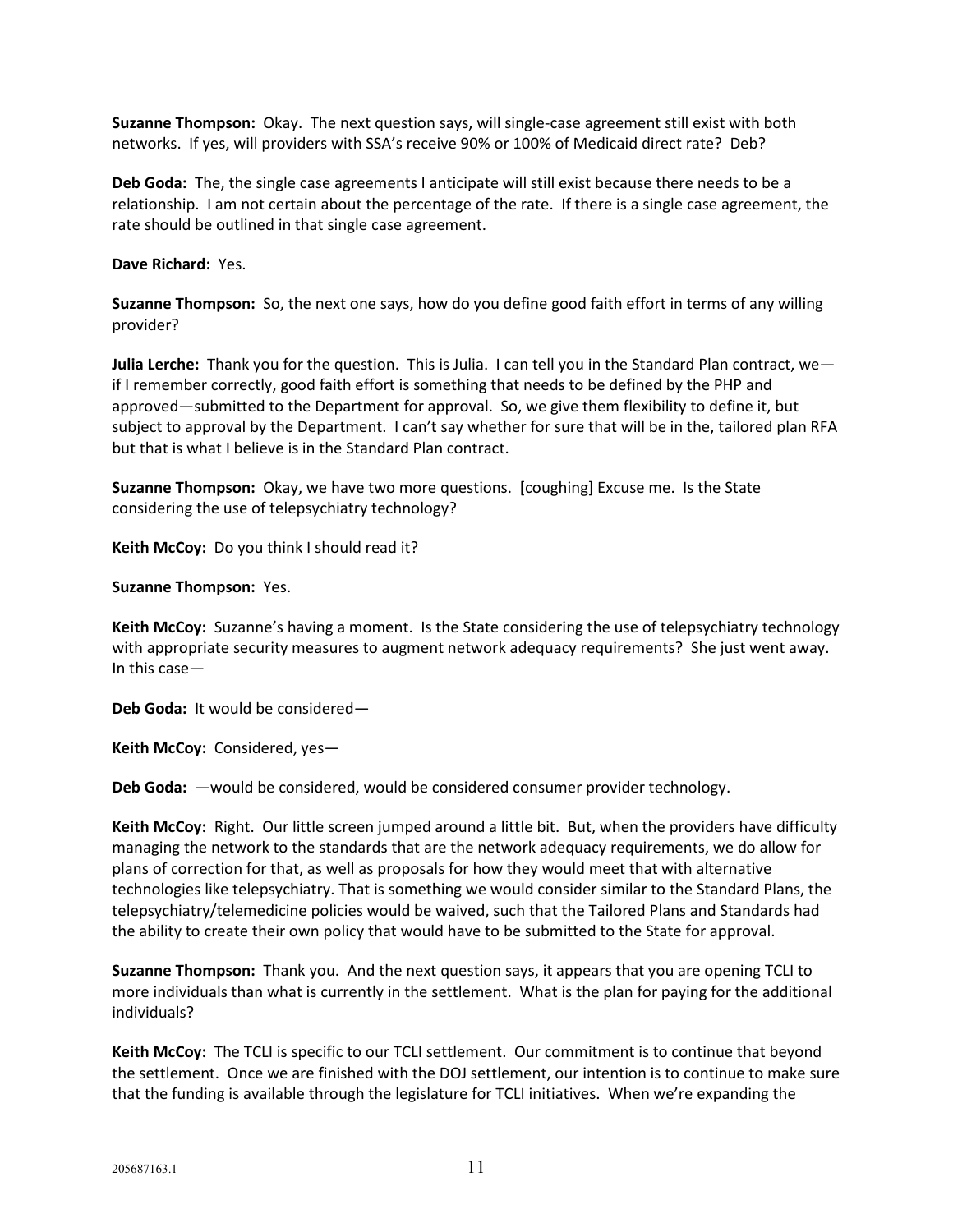**Suzanne Thompson:** Okay. The next question says, will single-case agreement still exist with both networks. If yes, will providers with SSA's receive 90% or 100% of Medicaid direct rate? Deb?

**Deb Goda:** The, the single case agreements I anticipate will still exist because there needs to be a relationship. I am not certain about the percentage of the rate. If there is a single case agreement, the rate should be outlined in that single case agreement.

**Dave Richard:** Yes.

**Suzanne Thompson:** So, the next one says, how do you define good faith effort in terms of any willing provider?

**Julia Lerche:** Thank you for the question. This is Julia. I can tell you in the Standard Plan contract, we if I remember correctly, good faith effort is something that needs to be defined by the PHP and approved—submitted to the Department for approval. So, we give them flexibility to define it, but subject to approval by the Department. I can't say whether for sure that will be in the, tailored plan RFA but that is what I believe is in the Standard Plan contract.

**Suzanne Thompson:** Okay, we have two more questions. [coughing] Excuse me. Is the State considering the use of telepsychiatry technology?

**Keith McCoy:** Do you think I should read it?

**Suzanne Thompson:** Yes.

**Keith McCoy:** Suzanne's having a moment. Is the State considering the use of telepsychiatry technology with appropriate security measures to augment network adequacy requirements? She just went away. In this case—

**Deb Goda:** It would be considered—

**Keith McCoy:** Considered, yes—

**Deb Goda:** —would be considered, would be considered consumer provider technology.

**Keith McCoy:** Right. Our little screen jumped around a little bit. But, when the providers have difficulty managing the network to the standards that are the network adequacy requirements, we do allow for plans of correction for that, as well as proposals for how they would meet that with alternative technologies like telepsychiatry. That is something we would consider similar to the Standard Plans, the telepsychiatry/telemedicine policies would be waived, such that the Tailored Plans and Standards had the ability to create their own policy that would have to be submitted to the State for approval.

**Suzanne Thompson:** Thank you. And the next question says, it appears that you are opening TCLI to more individuals than what is currently in the settlement. What is the plan for paying for the additional individuals?

**Keith McCoy:** The TCLI is specific to our TCLI settlement. Our commitment is to continue that beyond the settlement. Once we are finished with the DOJ settlement, our intention is to continue to make sure that the funding is available through the legislature for TCLI initiatives. When we're expanding the